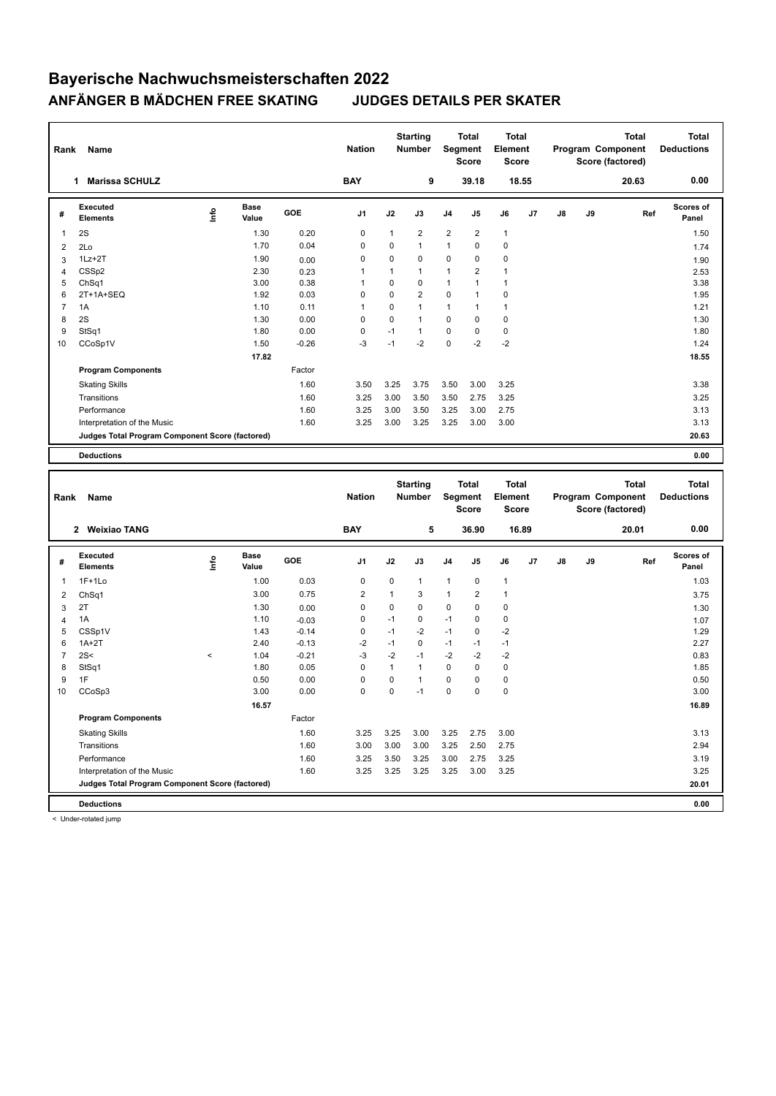| Rank           | Name                                            |           |               |         | <b>Nation</b>  |              | <b>Starting</b><br><b>Number</b> |                | <b>Total</b><br><b>Segment</b><br><b>Score</b> | <b>Total</b><br>Element<br><b>Score</b> |       |    |        | <b>Total</b><br>Program Component<br>Score (factored) | <b>Total</b><br><b>Deductions</b> |
|----------------|-------------------------------------------------|-----------|---------------|---------|----------------|--------------|----------------------------------|----------------|------------------------------------------------|-----------------------------------------|-------|----|--------|-------------------------------------------------------|-----------------------------------|
|                | <b>Marissa SCHULZ</b><br>1                      |           |               |         | <b>BAY</b>     |              | 9                                |                | 39.18                                          |                                         | 18.55 |    |        | 20.63                                                 | 0.00                              |
| #              | Executed<br><b>Elements</b>                     | ١nfo      | Base<br>Value | GOE     | J1             | J2           | J3                               | J <sub>4</sub> | J5                                             | J6                                      | J7    | J8 | J9     | Ref                                                   | Scores of<br>Panel                |
| 1              | 2S                                              |           | 1.30          | 0.20    | $\mathbf 0$    | $\mathbf{1}$ | $\overline{2}$                   | $\overline{2}$ | $\overline{2}$                                 | $\mathbf{1}$                            |       |    |        |                                                       | 1.50                              |
| 2              | 2Lo                                             |           | 1.70          | 0.04    | 0              | $\Omega$     | $\mathbf{1}$                     | $\mathbf{1}$   | $\Omega$                                       | $\mathbf 0$                             |       |    |        |                                                       | 1.74                              |
| 3              | $1Lz + 2T$                                      |           | 1.90          | 0.00    | 0              | $\Omega$     | $\Omega$                         | 0              | $\Omega$                                       | 0                                       |       |    |        |                                                       | 1.90                              |
| $\overline{4}$ | CSS <sub>p2</sub>                               |           | 2.30          | 0.23    | $\overline{1}$ | $\mathbf{1}$ | $\mathbf{1}$                     | $\mathbf{1}$   | 2                                              | $\mathbf{1}$                            |       |    |        |                                                       | 2.53                              |
| 5              | ChSq1                                           |           | 3.00          | 0.38    | $\overline{1}$ | $\Omega$     | $\Omega$                         | $\mathbf{1}$   | 1                                              | $\mathbf{1}$                            |       |    |        |                                                       | 3.38                              |
| 6              | 2T+1A+SEQ                                       |           | 1.92          | 0.03    | $\mathbf 0$    | $\Omega$     | $\overline{2}$                   | $\Omega$       | 1                                              | $\mathbf 0$                             |       |    |        |                                                       | 1.95                              |
| $\overline{7}$ | 1A                                              |           | 1.10          | 0.11    | $\mathbf{1}$   | $\mathbf 0$  | $\mathbf{1}$                     | $\mathbf{1}$   | 1                                              | $\mathbf{1}$                            |       |    |        |                                                       | 1.21                              |
| 8              | 2S                                              |           | 1.30          | 0.00    | $\mathbf 0$    | $\Omega$     | $\mathbf{1}$                     | $\Omega$       | $\Omega$                                       | $\mathbf 0$                             |       |    |        |                                                       | 1.30                              |
| 9              | StSq1                                           |           | 1.80          | 0.00    | $\mathbf 0$    | $-1$         | $\mathbf{1}$                     | $\mathbf 0$    | $\mathbf 0$                                    | 0                                       |       |    |        |                                                       | 1.80                              |
| 10             | CCoSp1V                                         |           | 1.50          | $-0.26$ | $-3$           | $-1$         | $-2$                             | $\Omega$       | $-2$                                           | $-2$                                    |       |    |        |                                                       | 1.24                              |
|                |                                                 |           | 17.82         |         |                |              |                                  |                |                                                |                                         |       |    |        |                                                       | 18.55                             |
|                | <b>Program Components</b>                       |           |               | Factor  |                |              |                                  |                |                                                |                                         |       |    |        |                                                       |                                   |
|                | <b>Skating Skills</b>                           |           |               | 1.60    | 3.50           | 3.25         | 3.75                             | 3.50           | 3.00                                           | 3.25                                    |       |    |        |                                                       | 3.38                              |
|                | Transitions                                     |           |               | 1.60    | 3.25           | 3.00         | 3.50                             | 3.50           | 2.75                                           | 3.25                                    |       |    |        |                                                       | 3.25                              |
|                | Performance                                     |           |               | 1.60    | 3.25           | 3.00         | 3.50                             | 3.25           | 3.00                                           | 2.75                                    |       |    |        |                                                       | 3.13                              |
|                | Interpretation of the Music                     |           |               | 1.60    | 3.25           | 3.00         | 3.25                             | 3.25           | 3.00                                           | 3.00                                    |       |    |        |                                                       | 3.13                              |
|                | Judges Total Program Component Score (factored) |           |               |         |                |              |                                  |                |                                                |                                         |       |    |        |                                                       | 20.63                             |
|                |                                                 |           |               |         |                |              |                                  |                |                                                |                                         |       |    |        |                                                       |                                   |
|                | <b>Deductions</b>                               |           |               |         |                |              |                                  |                |                                                |                                         |       |    |        |                                                       | 0.00                              |
|                |                                                 |           |               |         |                |              |                                  |                |                                                |                                         |       |    |        |                                                       |                                   |
| Rank           | Name                                            |           |               |         | <b>Nation</b>  |              | <b>Starting</b><br><b>Number</b> |                | <b>Total</b><br><b>Segment</b><br><b>Score</b> | <b>Total</b><br>Element<br><b>Score</b> |       |    |        | <b>Total</b><br>Program Component<br>Score (factored) | <b>Total</b><br><b>Deductions</b> |
|                | <b>Weixiao TANG</b><br>$\mathbf{2}$             |           |               |         | <b>BAY</b>     |              | 5                                |                | 36.90                                          |                                         | 16.89 |    |        | 20.01                                                 | 0.00                              |
|                | <b>Executed</b>                                 | $\bullet$ | Base          | GOE     | м              | ı,           | 12                               |                |                                                |                                         | 17    | 10 | $\sim$ | Def                                                   | <b>Scores of</b>                  |

| #  | Executed<br><b>Elements</b>                     | lnfo    | <b>Base</b><br>Value | GOE     | J <sub>1</sub> | J2             | J3             | J <sub>4</sub> | J <sub>5</sub> | J6             | J <sub>7</sub> | $\mathsf{J}8$ | J9 | Ref | Scores of<br>Panel |
|----|-------------------------------------------------|---------|----------------------|---------|----------------|----------------|----------------|----------------|----------------|----------------|----------------|---------------|----|-----|--------------------|
| 1  | $1F+1Lo$                                        |         | 1.00                 | 0.03    | 0              | 0              | $\mathbf{1}$   | $\mathbf{1}$   | $\mathbf 0$    | $\overline{1}$ |                |               |    |     | 1.03               |
| 2  | Ch <sub>Sq1</sub>                               |         | 3.00                 | 0.75    | $\overline{2}$ | $\overline{1}$ | 3              | 1              | $\overline{2}$ | $\overline{1}$ |                |               |    |     | 3.75               |
| 3  | 2T                                              |         | 1.30                 | 0.00    | 0              | 0              | 0              | 0              | 0              | 0              |                |               |    |     | 1.30               |
| 4  | 1A                                              |         | 1.10                 | $-0.03$ | 0              | $-1$           | 0              | $-1$           | 0              | $\mathbf 0$    |                |               |    |     | 1.07               |
| 5  | CSSp1V                                          |         | 1.43                 | $-0.14$ | 0              | $-1$           | $-2$           | $-1$           | $\mathbf 0$    | $-2$           |                |               |    |     | 1.29               |
| 6  | $1A+2T$                                         |         | 2.40                 | $-0.13$ | $-2$           | $-1$           | 0              | $-1$           | $-1$           | $-1$           |                |               |    |     | 2.27               |
| 7  | 2S<                                             | $\prec$ | 1.04                 | $-0.21$ | $-3$           | $-2$           | $-1$           | $-2$           | $-2$           | $-2$           |                |               |    |     | 0.83               |
| 8  | StSq1                                           |         | 1.80                 | 0.05    | 0              | 1              | $\overline{1}$ | $\Omega$       | 0              | 0              |                |               |    |     | 1.85               |
| 9  | 1F                                              |         | 0.50                 | 0.00    | 0              | 0              | $\overline{1}$ | 0              | 0              | 0              |                |               |    |     | 0.50               |
| 10 | CCoSp3                                          |         | 3.00                 | 0.00    | 0              | 0              | $-1$           | 0              | 0              | $\pmb{0}$      |                |               |    |     | 3.00               |
|    |                                                 |         | 16.57                |         |                |                |                |                |                |                |                |               |    |     | 16.89              |
|    | <b>Program Components</b>                       |         |                      | Factor  |                |                |                |                |                |                |                |               |    |     |                    |
|    | <b>Skating Skills</b>                           |         |                      | 1.60    | 3.25           | 3.25           | 3.00           | 3.25           | 2.75           | 3.00           |                |               |    |     | 3.13               |
|    | Transitions                                     |         |                      | 1.60    | 3.00           | 3.00           | 3.00           | 3.25           | 2.50           | 2.75           |                |               |    |     | 2.94               |
|    | Performance                                     |         |                      | 1.60    | 3.25           | 3.50           | 3.25           | 3.00           | 2.75           | 3.25           |                |               |    |     | 3.19               |
|    | Interpretation of the Music                     |         |                      | 1.60    | 3.25           | 3.25           | 3.25           | 3.25           | 3.00           | 3.25           |                |               |    |     | 3.25               |
|    | Judges Total Program Component Score (factored) |         |                      |         |                |                |                |                |                |                |                |               |    |     | 20.01              |
|    | <b>Deductions</b>                               |         |                      |         |                |                |                |                |                |                |                |               |    |     | 0.00               |

< Under-rotated jump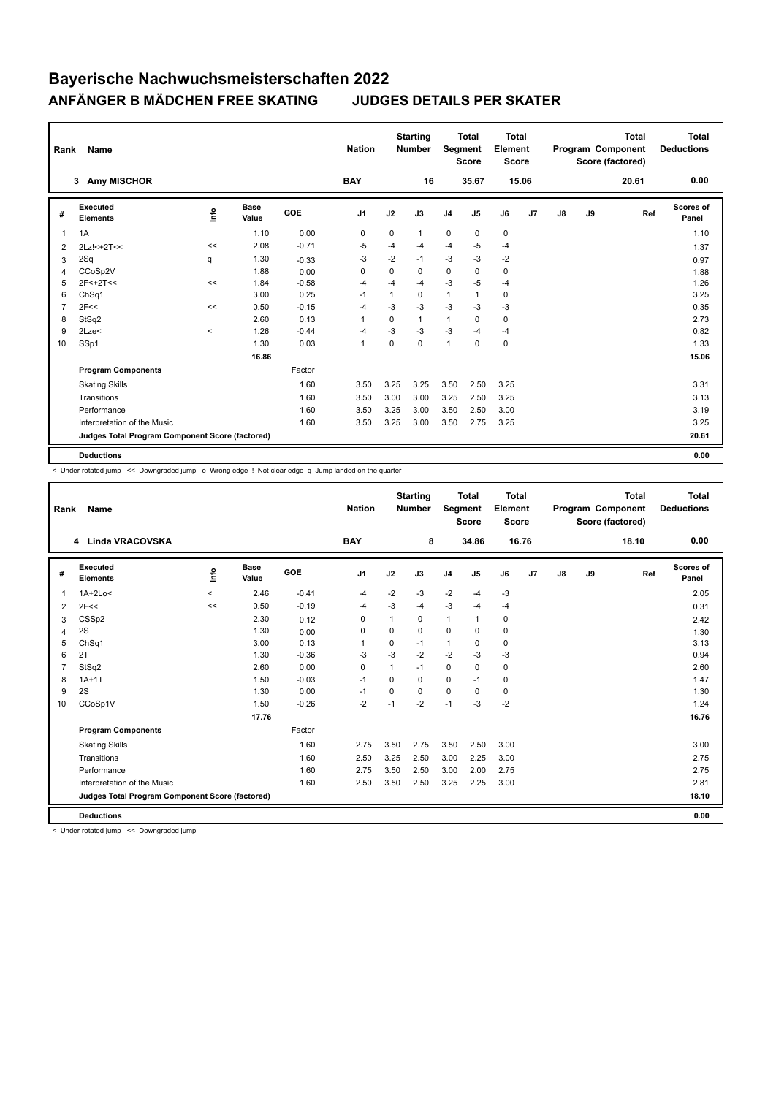|                | Name<br>Rank<br>3                               |         |                      |            |                |              | <b>Starting</b><br><b>Number</b> | Segment        | <b>Total</b><br><b>Score</b> | <b>Total</b><br>Element<br><b>Score</b> |       |               |    | <b>Total</b><br>Program Component<br>Score (factored) | <b>Total</b><br><b>Deductions</b> |
|----------------|-------------------------------------------------|---------|----------------------|------------|----------------|--------------|----------------------------------|----------------|------------------------------|-----------------------------------------|-------|---------------|----|-------------------------------------------------------|-----------------------------------|
|                | <b>Amy MISCHOR</b>                              |         |                      |            | <b>BAY</b>     |              | 16                               |                | 35.67                        |                                         | 15.06 |               |    | 20.61                                                 | 0.00                              |
| #              | Executed<br><b>Elements</b>                     | lnfo    | <b>Base</b><br>Value | <b>GOE</b> | J <sub>1</sub> | J2           | J3                               | J <sub>4</sub> | J5                           | J6                                      | J7    | $\mathsf{J}8$ | J9 | Ref                                                   | Scores of<br>Panel                |
| 1              | 1A                                              |         | 1.10                 | 0.00       | 0              | 0            | 1                                | $\pmb{0}$      | 0                            | 0                                       |       |               |    |                                                       | 1.10                              |
| 2              | $2Lz! < +2T <$                                  | <<      | 2.08                 | $-0.71$    | -5             | $-4$         | $-4$                             | $-4$           | $-5$                         | $-4$                                    |       |               |    |                                                       | 1.37                              |
| 3              | 2Sq                                             | q       | 1.30                 | $-0.33$    | $-3$           | $-2$         | $-1$                             | $-3$           | $-3$                         | $-2$                                    |       |               |    |                                                       | 0.97                              |
| 4              | CCoSp2V                                         |         | 1.88                 | 0.00       | 0              | 0            | $\Omega$                         | 0              | 0                            | 0                                       |       |               |    |                                                       | 1.88                              |
| 5              | $2F < +2T <$                                    | <<      | 1.84                 | $-0.58$    | -4             | $-4$         | $-4$                             | $-3$           | $-5$                         | $-4$                                    |       |               |    |                                                       | 1.26                              |
| 6              | ChSq1                                           |         | 3.00                 | 0.25       | $-1$           | $\mathbf{1}$ | 0                                | $\mathbf{1}$   | 1                            | $\mathbf 0$                             |       |               |    |                                                       | 3.25                              |
| $\overline{7}$ | 2F<<                                            | <<      | 0.50                 | $-0.15$    | $-4$           | $-3$         | $-3$                             | $-3$           | $-3$                         | $-3$                                    |       |               |    |                                                       | 0.35                              |
| 8              | StSq2                                           |         | 2.60                 | 0.13       | $\overline{1}$ | 0            | 1                                | $\mathbf{1}$   | 0                            | 0                                       |       |               |    |                                                       | 2.73                              |
| 9              | 2Lze<                                           | $\,<\,$ | 1.26                 | $-0.44$    | -4             | -3           | $-3$                             | $-3$           | $-4$                         | $-4$                                    |       |               |    |                                                       | 0.82                              |
| 10             | SSp1                                            |         | 1.30                 | 0.03       | $\mathbf{1}$   | $\Omega$     | $\Omega$                         | $\mathbf{1}$   | $\mathbf 0$                  | 0                                       |       |               |    |                                                       | 1.33                              |
|                |                                                 |         | 16.86                |            |                |              |                                  |                |                              |                                         |       |               |    |                                                       | 15.06                             |
|                | <b>Program Components</b>                       |         |                      | Factor     |                |              |                                  |                |                              |                                         |       |               |    |                                                       |                                   |
|                | <b>Skating Skills</b>                           |         |                      | 1.60       | 3.50           | 3.25         | 3.25                             | 3.50           | 2.50                         | 3.25                                    |       |               |    |                                                       | 3.31                              |
|                | Transitions                                     |         |                      | 1.60       | 3.50           | 3.00         | 3.00                             | 3.25           | 2.50                         | 3.25                                    |       |               |    |                                                       | 3.13                              |
|                | Performance                                     |         |                      | 1.60       | 3.50           | 3.25         | 3.00                             | 3.50           | 2.50                         | 3.00                                    |       |               |    |                                                       | 3.19                              |
|                | Interpretation of the Music                     |         |                      | 1.60       | 3.50           | 3.25         | 3.00                             | 3.50           | 2.75                         | 3.25                                    |       |               |    |                                                       | 3.25                              |
|                | Judges Total Program Component Score (factored) |         |                      |            |                |              |                                  |                |                              |                                         |       |               |    |                                                       | 20.61                             |
|                | <b>Deductions</b>                               |         |                      |            |                |              |                                  |                |                              |                                         |       |               |    |                                                       | 0.00                              |

< Under-rotated jump << Downgraded jump e Wrong edge ! Not clear edge q Jump landed on the quarter

| Rank           | <b>Name</b>                                     |         |                      |         | <b>Nation</b>  |          | <b>Starting</b><br><b>Number</b> | Segment        | Total<br><b>Score</b> | Total<br>Element<br><b>Score</b> |                |    |    | <b>Total</b><br>Program Component<br>Score (factored) | <b>Total</b><br><b>Deductions</b> |
|----------------|-------------------------------------------------|---------|----------------------|---------|----------------|----------|----------------------------------|----------------|-----------------------|----------------------------------|----------------|----|----|-------------------------------------------------------|-----------------------------------|
|                | 4 Linda VRACOVSKA                               |         |                      |         | <b>BAY</b>     |          | 8                                |                | 34.86                 |                                  | 16.76          |    |    | 18.10                                                 | 0.00                              |
| #              | Executed<br><b>Elements</b>                     | info    | <b>Base</b><br>Value | GOE     | J <sub>1</sub> | J2       | J3                               | J <sub>4</sub> | J <sub>5</sub>        | J6                               | J <sub>7</sub> | J8 | J9 | Ref                                                   | <b>Scores of</b><br>Panel         |
| 1              | $1A+2Lo<$                                       | $\,<\,$ | 2.46                 | $-0.41$ | $-4$           | $-2$     | $-3$                             | $-2$           | $-4$                  | $-3$                             |                |    |    |                                                       | 2.05                              |
| 2              | 2F<<                                            | <<      | 0.50                 | $-0.19$ | -4             | $-3$     | $-4$                             | $-3$           | $-4$                  | $-4$                             |                |    |    |                                                       | 0.31                              |
| 3              | CSSp2                                           |         | 2.30                 | 0.12    | 0              |          | 0                                | $\mathbf{1}$   | 1                     | 0                                |                |    |    |                                                       | 2.42                              |
| 4              | 2S                                              |         | 1.30                 | 0.00    | $\Omega$       | $\Omega$ | $\Omega$                         | $\mathbf 0$    | $\Omega$              | 0                                |                |    |    |                                                       | 1.30                              |
| 5              | Ch <sub>Sq1</sub>                               |         | 3.00                 | 0.13    | 1              | $\Omega$ | $-1$                             | $\mathbf{1}$   | 0                     | $\mathbf 0$                      |                |    |    |                                                       | 3.13                              |
| 6              | 2T                                              |         | 1.30                 | $-0.36$ | $-3$           | $-3$     | $-2$                             | $-2$           | $-3$                  | $-3$                             |                |    |    |                                                       | 0.94                              |
| $\overline{7}$ | StSq2                                           |         | 2.60                 | 0.00    | $\mathbf 0$    | 1        | $-1$                             | $\mathbf 0$    | 0                     | $\mathbf 0$                      |                |    |    |                                                       | 2.60                              |
| 8              | $1A+1T$                                         |         | 1.50                 | $-0.03$ | $-1$           | $\Omega$ | $\Omega$                         | $\Omega$       | $-1$                  | 0                                |                |    |    |                                                       | 1.47                              |
| 9              | 2S                                              |         | 1.30                 | 0.00    | $-1$           | $\Omega$ | $\Omega$                         | $\mathbf 0$    | $\Omega$              | 0                                |                |    |    |                                                       | 1.30                              |
| 10             | CCoSp1V                                         |         | 1.50                 | $-0.26$ | $-2$           | $-1$     | $-2$                             | $-1$           | $-3$                  | $-2$                             |                |    |    |                                                       | 1.24                              |
|                |                                                 |         | 17.76                |         |                |          |                                  |                |                       |                                  |                |    |    |                                                       | 16.76                             |
|                | <b>Program Components</b>                       |         |                      | Factor  |                |          |                                  |                |                       |                                  |                |    |    |                                                       |                                   |
|                | <b>Skating Skills</b>                           |         |                      | 1.60    | 2.75           | 3.50     | 2.75                             | 3.50           | 2.50                  | 3.00                             |                |    |    |                                                       | 3.00                              |
|                | Transitions                                     |         |                      | 1.60    | 2.50           | 3.25     | 2.50                             | 3.00           | 2.25                  | 3.00                             |                |    |    |                                                       | 2.75                              |
|                | Performance                                     |         |                      | 1.60    | 2.75           | 3.50     | 2.50                             | 3.00           | 2.00                  | 2.75                             |                |    |    |                                                       | 2.75                              |
|                | Interpretation of the Music                     |         |                      | 1.60    | 2.50           | 3.50     | 2.50                             | 3.25           | 2.25                  | 3.00                             |                |    |    |                                                       | 2.81                              |
|                | Judges Total Program Component Score (factored) |         |                      |         |                |          |                                  |                |                       |                                  |                |    |    |                                                       | 18.10                             |
|                | <b>Deductions</b>                               |         |                      |         |                |          |                                  |                |                       |                                  |                |    |    |                                                       | 0.00                              |

< Under-rotated jump << Downgraded jump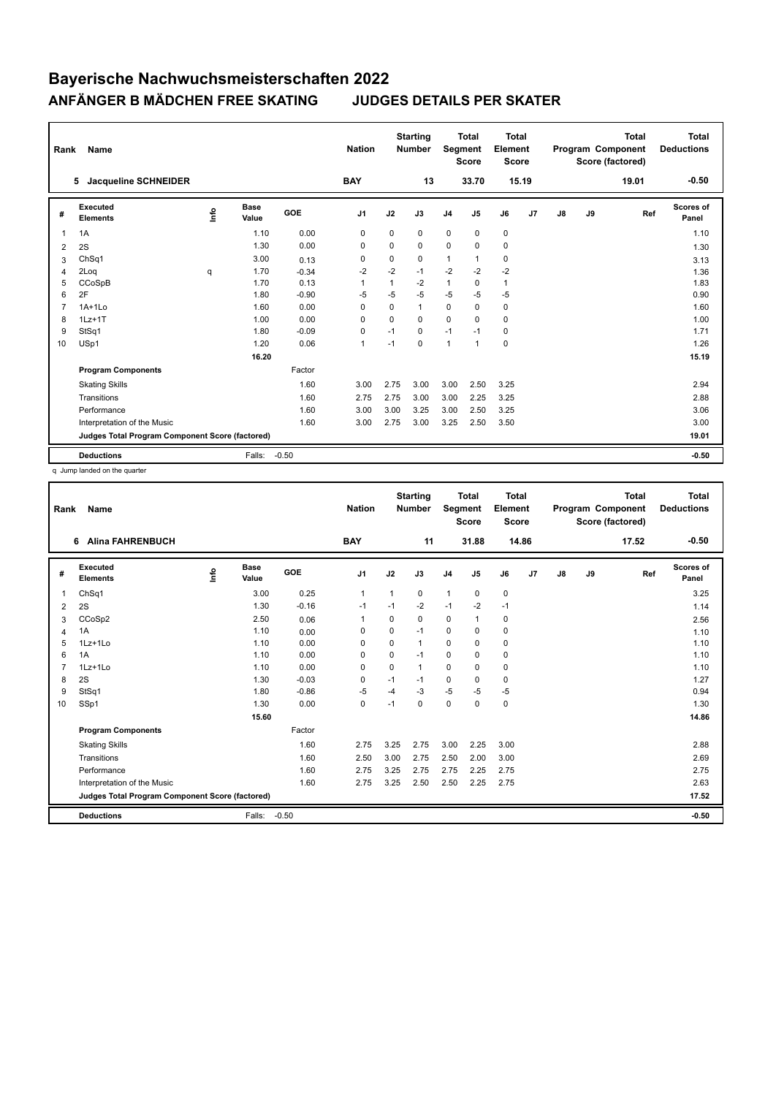| Rank           | Name                                            |   |                      |         | <b>Nation</b>  |          | <b>Starting</b><br><b>Number</b> | Segment        | <b>Total</b><br><b>Score</b> | <b>Total</b><br>Element<br><b>Score</b> |                |               |    | Total<br>Program Component<br>Score (factored) | <b>Total</b><br><b>Deductions</b> |
|----------------|-------------------------------------------------|---|----------------------|---------|----------------|----------|----------------------------------|----------------|------------------------------|-----------------------------------------|----------------|---------------|----|------------------------------------------------|-----------------------------------|
|                | <b>Jacqueline SCHNEIDER</b><br>5                |   |                      |         | <b>BAY</b>     |          | 13                               |                | 33.70                        | 15.19                                   |                |               |    | 19.01                                          | $-0.50$                           |
| #              | Executed<br><b>Elements</b>                     | ۴ | <b>Base</b><br>Value | GOE     | J <sub>1</sub> | J2       | J3                               | J <sub>4</sub> | J5                           | J6                                      | J <sub>7</sub> | $\mathsf{J}8$ | J9 | Ref                                            | <b>Scores of</b><br>Panel         |
| 1              | 1A                                              |   | 1.10                 | 0.00    | 0              | 0        | 0                                | $\mathbf 0$    | $\mathbf 0$                  | 0                                       |                |               |    |                                                | 1.10                              |
| 2              | 2S                                              |   | 1.30                 | 0.00    | $\Omega$       | $\Omega$ | $\Omega$                         | $\mathbf 0$    | $\Omega$                     | 0                                       |                |               |    |                                                | 1.30                              |
| 3              | Ch <sub>Sq1</sub>                               |   | 3.00                 | 0.13    | 0              | 0        | 0                                | $\mathbf{1}$   | $\mathbf{1}$                 | 0                                       |                |               |    |                                                | 3.13                              |
| 4              | 2Log                                            | q | 1.70                 | $-0.34$ | $-2$           | $-2$     | $-1$                             | $-2$           | $-2$                         | $-2$                                    |                |               |    |                                                | 1.36                              |
| 5              | CCoSpB                                          |   | 1.70                 | 0.13    | 1              | 1        | $-2$                             | $\mathbf{1}$   | $\Omega$                     | $\mathbf{1}$                            |                |               |    |                                                | 1.83                              |
| 6              | 2F                                              |   | 1.80                 | $-0.90$ | $-5$           | $-5$     | $-5$                             | $-5$           | $-5$                         | $-5$                                    |                |               |    |                                                | 0.90                              |
| $\overline{7}$ | $1A+1Lo$                                        |   | 1.60                 | 0.00    | 0              | 0        | $\mathbf{1}$                     | $\mathbf 0$    | 0                            | 0                                       |                |               |    |                                                | 1.60                              |
| 8              | $1Lz+1T$                                        |   | 1.00                 | 0.00    | 0              | 0        | 0                                | $\mathbf 0$    | $\Omega$                     | 0                                       |                |               |    |                                                | 1.00                              |
| 9              | StSq1                                           |   | 1.80                 | $-0.09$ | $\Omega$       | $-1$     | $\Omega$                         | $-1$           | $-1$                         | 0                                       |                |               |    |                                                | 1.71                              |
| 10             | USp1                                            |   | 1.20                 | 0.06    | $\mathbf{1}$   | $-1$     | $\Omega$                         | $\mathbf{1}$   | $\mathbf{1}$                 | 0                                       |                |               |    |                                                | 1.26                              |
|                |                                                 |   | 16.20                |         |                |          |                                  |                |                              |                                         |                |               |    |                                                | 15.19                             |
|                | <b>Program Components</b>                       |   |                      | Factor  |                |          |                                  |                |                              |                                         |                |               |    |                                                |                                   |
|                | <b>Skating Skills</b>                           |   |                      | 1.60    | 3.00           | 2.75     | 3.00                             | 3.00           | 2.50                         | 3.25                                    |                |               |    |                                                | 2.94                              |
|                | Transitions                                     |   |                      | 1.60    | 2.75           | 2.75     | 3.00                             | 3.00           | 2.25                         | 3.25                                    |                |               |    |                                                | 2.88                              |
|                | Performance                                     |   |                      | 1.60    | 3.00           | 3.00     | 3.25                             | 3.00           | 2.50                         | 3.25                                    |                |               |    |                                                | 3.06                              |
|                | Interpretation of the Music                     |   |                      | 1.60    | 3.00           | 2.75     | 3.00                             | 3.25           | 2.50                         | 3.50                                    |                |               |    |                                                | 3.00                              |
|                | Judges Total Program Component Score (factored) |   |                      |         |                |          |                                  |                |                              |                                         |                |               |    |                                                | 19.01                             |
|                | <b>Deductions</b>                               |   | Falls:               | $-0.50$ |                |          |                                  |                |                              |                                         |                |               |    |                                                | $-0.50$                           |

q Jump landed on the quarter

| Rank           | Name                                            |    |                      |         | <b>Nation</b> |              | <b>Starting</b><br><b>Number</b> | Segment        | <b>Total</b><br><b>Score</b> | Total<br>Element<br><b>Score</b> |    |               |    | <b>Total</b><br>Program Component<br>Score (factored) | Total<br><b>Deductions</b> |
|----------------|-------------------------------------------------|----|----------------------|---------|---------------|--------------|----------------------------------|----------------|------------------------------|----------------------------------|----|---------------|----|-------------------------------------------------------|----------------------------|
|                | <b>Alina FAHRENBUCH</b><br>6                    |    |                      |         | <b>BAY</b>    |              | 11                               |                | 31.88                        | 14.86                            |    |               |    | 17.52                                                 | $-0.50$                    |
| #              | Executed<br><b>Elements</b>                     | ۴٥ | <b>Base</b><br>Value | GOE     | J1            | J2           | J3                               | J <sub>4</sub> | J <sub>5</sub>               | J6                               | J7 | $\mathsf{J}8$ | J9 | Ref                                                   | Scores of<br>Panel         |
| 1              | ChSq1                                           |    | 3.00                 | 0.25    | $\mathbf{1}$  | $\mathbf{1}$ | $\mathbf 0$                      | $\mathbf{1}$   | 0                            | $\pmb{0}$                        |    |               |    |                                                       | 3.25                       |
| 2              | 2S                                              |    | 1.30                 | $-0.16$ | $-1$          | $-1$         | $-2$                             | $-1$           | $-2$                         | $-1$                             |    |               |    |                                                       | 1.14                       |
| 3              | CCoSp2                                          |    | 2.50                 | 0.06    | $\mathbf{1}$  | $\Omega$     | 0                                | 0              | 1                            | 0                                |    |               |    |                                                       | 2.56                       |
| 4              | 1A                                              |    | 1.10                 | 0.00    | 0             | $\Omega$     | $-1$                             | 0              | $\Omega$                     | 0                                |    |               |    |                                                       | 1.10                       |
| 5              | 1Lz+1Lo                                         |    | 1.10                 | 0.00    | $\Omega$      | $\Omega$     | $\mathbf{1}$                     | $\Omega$       | 0                            | $\mathbf 0$                      |    |               |    |                                                       | 1.10                       |
| 6              | 1A                                              |    | 1.10                 | 0.00    | $\Omega$      | $\Omega$     | $-1$                             | $\mathbf 0$    | $\Omega$                     | 0                                |    |               |    |                                                       | 1.10                       |
| $\overline{7}$ | 1Lz+1Lo                                         |    | 1.10                 | 0.00    | $\Omega$      | $\Omega$     | $\mathbf{1}$                     | $\Omega$       | $\Omega$                     | $\mathbf 0$                      |    |               |    |                                                       | 1.10                       |
| 8              | 2S                                              |    | 1.30                 | $-0.03$ | 0             | $-1$         | $-1$                             | $\mathbf 0$    | $\mathbf 0$                  | $\mathbf 0$                      |    |               |    |                                                       | 1.27                       |
| 9              | StSq1                                           |    | 1.80                 | $-0.86$ | -5            | $-4$         | $-3$                             | $-5$           | -5                           | $-5$                             |    |               |    |                                                       | 0.94                       |
| 10             | SSp1                                            |    | 1.30                 | 0.00    | $\pmb{0}$     | $-1$         | 0                                | $\mathbf 0$    | $\mathbf 0$                  | 0                                |    |               |    |                                                       | 1.30                       |
|                |                                                 |    | 15.60                |         |               |              |                                  |                |                              |                                  |    |               |    |                                                       | 14.86                      |
|                | <b>Program Components</b>                       |    |                      | Factor  |               |              |                                  |                |                              |                                  |    |               |    |                                                       |                            |
|                | <b>Skating Skills</b>                           |    |                      | 1.60    | 2.75          | 3.25         | 2.75                             | 3.00           | 2.25                         | 3.00                             |    |               |    |                                                       | 2.88                       |
|                | Transitions                                     |    |                      | 1.60    | 2.50          | 3.00         | 2.75                             | 2.50           | 2.00                         | 3.00                             |    |               |    |                                                       | 2.69                       |
|                | Performance                                     |    |                      | 1.60    | 2.75          | 3.25         | 2.75                             | 2.75           | 2.25                         | 2.75                             |    |               |    |                                                       | 2.75                       |
|                | Interpretation of the Music                     |    |                      | 1.60    | 2.75          | 3.25         | 2.50                             | 2.50           | 2.25                         | 2.75                             |    |               |    |                                                       | 2.63                       |
|                | Judges Total Program Component Score (factored) |    |                      |         |               |              |                                  |                |                              |                                  |    |               |    |                                                       | 17.52                      |
|                | <b>Deductions</b>                               |    | Falls:               | $-0.50$ |               |              |                                  |                |                              |                                  |    |               |    |                                                       | $-0.50$                    |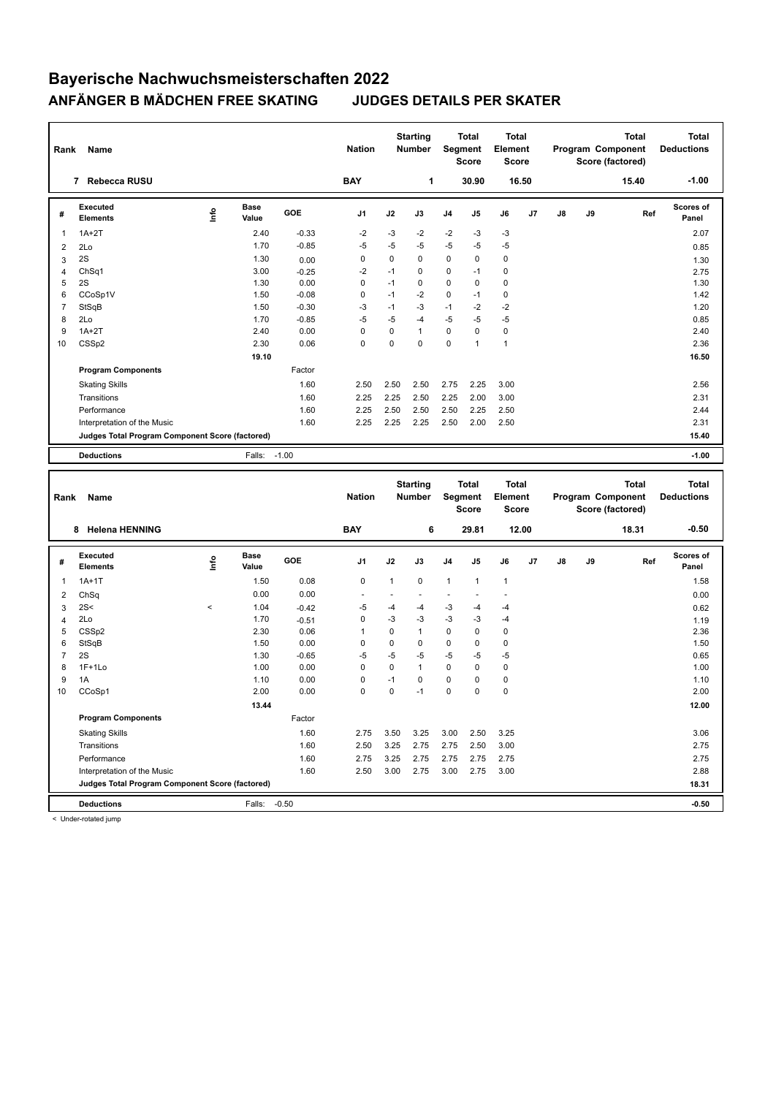| Rank | Name                                            |    | <b>Nation</b> |         | <b>Starting</b><br><b>Number</b> |             | <b>Total</b><br>Segment<br><b>Score</b> | Total<br>Element<br><b>Score</b> |                |              |       | <b>Total</b><br>Program Component<br>Score (factored) | Total<br><b>Deductions</b> |       |                    |
|------|-------------------------------------------------|----|---------------|---------|----------------------------------|-------------|-----------------------------------------|----------------------------------|----------------|--------------|-------|-------------------------------------------------------|----------------------------|-------|--------------------|
|      | <b>Rebecca RUSU</b><br>7                        |    |               |         | <b>BAY</b>                       |             | 1                                       |                                  | 30.90          |              | 16.50 |                                                       |                            | 15.40 | $-1.00$            |
| #    | Executed<br><b>Elements</b>                     | ۴ů | Base<br>Value | GOE     | J <sub>1</sub>                   | J2          | J3                                      | J <sub>4</sub>                   | J <sub>5</sub> | J6           | J7    | J8                                                    | J9                         | Ref   | Scores of<br>Panel |
| 1    | $1A+2T$                                         |    | 2.40          | $-0.33$ | $-2$                             | $-3$        | $-2$                                    | $-2$                             | $-3$           | $-3$         |       |                                                       |                            |       | 2.07               |
| 2    | 2Lo                                             |    | 1.70          | $-0.85$ | $-5$                             | $-5$        | $-5$                                    | $-5$                             | $-5$           | $-5$         |       |                                                       |                            |       | 0.85               |
| 3    | 2S                                              |    | 1.30          | 0.00    | 0                                | 0           | $\mathbf 0$                             | $\mathbf 0$                      | $\Omega$       | $\mathbf 0$  |       |                                                       |                            |       | 1.30               |
| 4    | ChSq1                                           |    | 3.00          | $-0.25$ | $-2$                             | $-1$        | $\mathbf 0$                             | $\mathbf 0$                      | $-1$           | 0            |       |                                                       |                            |       | 2.75               |
| 5    | 2S                                              |    | 1.30          | 0.00    | 0                                | $-1$        | $\mathbf 0$                             | $\mathbf 0$                      | $\mathbf 0$    | 0            |       |                                                       |                            |       | 1.30               |
| 6    | CCoSp1V                                         |    | 1.50          | $-0.08$ | 0                                | $-1$        | $-2$                                    | $\mathbf 0$                      | $-1$           | 0            |       |                                                       |                            |       | 1.42               |
|      | StSqB                                           |    | 1.50          | $-0.30$ | $-3$                             | $-1$        | $-3$                                    | $-1$                             | $-2$           | $-2$         |       |                                                       |                            |       | 1.20               |
| 8    | 2Lo                                             |    | 1.70          | $-0.85$ | $-5$                             | $-5$        | $-4$                                    | $-5$                             | $-5$           | $-5$         |       |                                                       |                            |       | 0.85               |
| 9    | $1A+2T$                                         |    | 2.40          | 0.00    | 0                                | $\mathbf 0$ | 1                                       | $\mathbf 0$                      | $\Omega$       | $\mathbf 0$  |       |                                                       |                            |       | 2.40               |
| 10   | CSS <sub>p2</sub>                               |    | 2.30          | 0.06    | $\Omega$                         | $\Omega$    | $\Omega$                                | $\Omega$                         | 1              | $\mathbf{1}$ |       |                                                       |                            |       | 2.36               |
|      |                                                 |    | 19.10         |         |                                  |             |                                         |                                  |                |              |       |                                                       |                            |       | 16.50              |
|      | <b>Program Components</b>                       |    |               | Factor  |                                  |             |                                         |                                  |                |              |       |                                                       |                            |       |                    |
|      | <b>Skating Skills</b>                           |    |               | 1.60    | 2.50                             | 2.50        | 2.50                                    | 2.75                             | 2.25           | 3.00         |       |                                                       |                            |       | 2.56               |
|      | Transitions                                     |    |               | 1.60    | 2.25                             | 2.25        | 2.50                                    | 2.25                             | 2.00           | 3.00         |       |                                                       |                            |       | 2.31               |
|      | Performance                                     |    |               | 1.60    | 2.25                             | 2.50        | 2.50                                    | 2.50                             | 2.25           | 2.50         |       |                                                       |                            |       | 2.44               |
|      | Interpretation of the Music                     |    |               | 1.60    | 2.25                             | 2.25        | 2.25                                    | 2.50                             | 2.00           | 2.50         |       |                                                       |                            |       | 2.31               |
|      | Judges Total Program Component Score (factored) |    |               |         |                                  |             |                                         |                                  |                |              |       |                                                       |                            |       | 15.40              |
|      | <b>Deductions</b>                               |    | Falls:        | $-1.00$ |                                  |             |                                         |                                  |                |              |       |                                                       |                            |       | $-1.00$            |
|      |                                                 |    |               |         |                                  |             |                                         |                                  |                |              |       |                                                       |                            |       |                    |

| Rank           | Name                                            |         |                      |            | <b>Nation</b>  |              | <b>Starting</b><br><b>Number</b> |                | <b>Total</b><br>Segment<br><b>Score</b> | <b>Total</b><br>Element<br><b>Score</b> |       |               |    | <b>Total</b><br>Program Component<br>Score (factored) | <b>Total</b><br><b>Deductions</b> |
|----------------|-------------------------------------------------|---------|----------------------|------------|----------------|--------------|----------------------------------|----------------|-----------------------------------------|-----------------------------------------|-------|---------------|----|-------------------------------------------------------|-----------------------------------|
|                | <b>Helena HENNING</b><br>8                      |         |                      |            | <b>BAY</b>     |              | 6                                |                | 29.81                                   |                                         | 12.00 |               |    | 18.31                                                 | $-0.50$                           |
| #              | Executed<br><b>Elements</b>                     | ١mfo    | <b>Base</b><br>Value | <b>GOE</b> | J <sub>1</sub> | J2           | J3                               | J <sub>4</sub> | J5                                      | J6                                      | J7    | $\mathsf{J}8$ | J9 | Ref                                                   | Scores of<br>Panel                |
| 1              | $1A+1T$                                         |         | 1.50                 | 0.08       | 0              | $\mathbf{1}$ | $\mathbf 0$                      | $\mathbf{1}$   | $\overline{1}$                          | $\mathbf{1}$                            |       |               |    |                                                       | 1.58                              |
| 2              | ChSq                                            |         | 0.00                 | 0.00       |                |              |                                  |                |                                         |                                         |       |               |    |                                                       | 0.00                              |
| 3              | 2S<                                             | $\,<\,$ | 1.04                 | $-0.42$    | $-5$           | $-4$         | $-4$                             | $-3$           | $-4$                                    | $-4$                                    |       |               |    |                                                       | 0.62                              |
| 4              | 2Lo                                             |         | 1.70                 | $-0.51$    | 0              | $-3$         | $-3$                             | $-3$           | $-3$                                    | $-4$                                    |       |               |    |                                                       | 1.19                              |
| 5              | CSS <sub>p2</sub>                               |         | 2.30                 | 0.06       | 1              | 0            | $\mathbf{1}$                     | $\mathbf 0$    | 0                                       | $\mathbf 0$                             |       |               |    |                                                       | 2.36                              |
| 6              | StSqB                                           |         | 1.50                 | 0.00       | 0              | 0            | $\mathbf 0$                      | $\mathbf 0$    | 0                                       | $\pmb{0}$                               |       |               |    |                                                       | 1.50                              |
| $\overline{7}$ | 2S                                              |         | 1.30                 | $-0.65$    | $-5$           | $-5$         | $-5$                             | $-5$           | $-5$                                    | $-5$                                    |       |               |    |                                                       | 0.65                              |
| 8              | $1F+1Lo$                                        |         | 1.00                 | 0.00       | 0              | 0            | $\mathbf{1}$                     | 0              | 0                                       | 0                                       |       |               |    |                                                       | 1.00                              |
| 9              | 1A                                              |         | 1.10                 | 0.00       | 0              | $-1$         | 0                                | $\mathbf 0$    | 0                                       | 0                                       |       |               |    |                                                       | 1.10                              |
| 10             | CCoSp1                                          |         | 2.00                 | 0.00       | 0              | 0            | $-1$                             | $\mathbf 0$    | 0                                       | $\pmb{0}$                               |       |               |    |                                                       | 2.00                              |
|                |                                                 |         | 13.44                |            |                |              |                                  |                |                                         |                                         |       |               |    |                                                       | 12.00                             |
|                | <b>Program Components</b>                       |         |                      | Factor     |                |              |                                  |                |                                         |                                         |       |               |    |                                                       |                                   |
|                | <b>Skating Skills</b>                           |         |                      | 1.60       | 2.75           | 3.50         | 3.25                             | 3.00           | 2.50                                    | 3.25                                    |       |               |    |                                                       | 3.06                              |
|                | Transitions                                     |         |                      | 1.60       | 2.50           | 3.25         | 2.75                             | 2.75           | 2.50                                    | 3.00                                    |       |               |    |                                                       | 2.75                              |
|                | Performance                                     |         |                      | 1.60       | 2.75           | 3.25         | 2.75                             | 2.75           | 2.75                                    | 2.75                                    |       |               |    |                                                       | 2.75                              |
|                | Interpretation of the Music                     |         |                      | 1.60       | 2.50           | 3.00         | 2.75                             | 3.00           | 2.75                                    | 3.00                                    |       |               |    |                                                       | 2.88                              |
|                | Judges Total Program Component Score (factored) |         |                      |            |                |              |                                  |                |                                         |                                         |       |               |    |                                                       | 18.31                             |
|                | <b>Deductions</b>                               |         | Falls:               | $-0.50$    |                |              |                                  |                |                                         |                                         |       |               |    |                                                       | $-0.50$                           |

< Under-rotated jump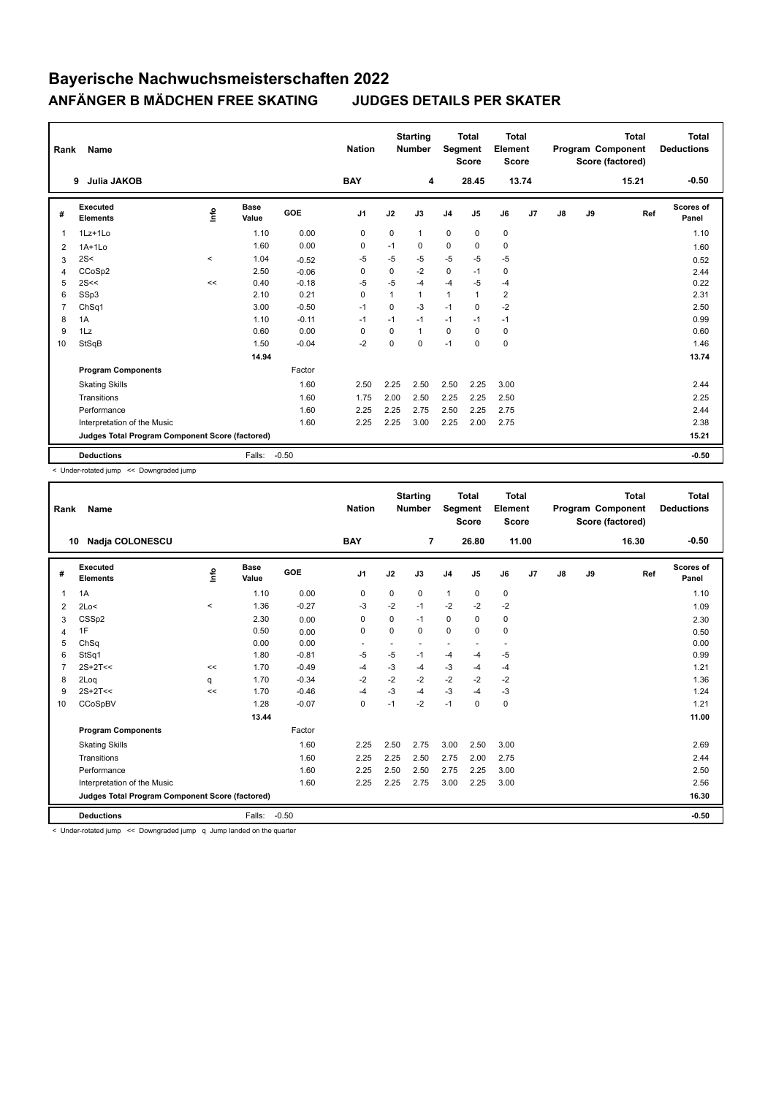| Rank           | Name                                            |       |                      |            | <b>Nation</b>  |              | <b>Starting</b><br><b>Number</b> | Segment        | <b>Total</b><br><b>Score</b> | <b>Total</b><br>Element<br><b>Score</b> |       |               |    | <b>Total</b><br>Program Component<br>Score (factored) | <b>Total</b><br><b>Deductions</b> |
|----------------|-------------------------------------------------|-------|----------------------|------------|----------------|--------------|----------------------------------|----------------|------------------------------|-----------------------------------------|-------|---------------|----|-------------------------------------------------------|-----------------------------------|
|                | <b>Julia JAKOB</b><br>9                         |       |                      |            | <b>BAY</b>     |              | 4                                |                | 28.45                        |                                         | 13.74 |               |    | 15.21                                                 | $-0.50$                           |
| #              | Executed<br><b>Elements</b>                     | lnfo  | <b>Base</b><br>Value | <b>GOE</b> | J <sub>1</sub> | J2           | J3                               | J <sub>4</sub> | J5                           | J6                                      | J7    | $\mathsf{J}8$ | J9 | Ref                                                   | <b>Scores of</b><br>Panel         |
| $\mathbf{1}$   | $1Lz+1Lo$                                       |       | 1.10                 | 0.00       | 0              | $\mathbf 0$  | $\mathbf{1}$                     | $\mathbf 0$    | $\mathbf 0$                  | $\mathbf 0$                             |       |               |    |                                                       | 1.10                              |
| 2              | $1A+1Lo$                                        |       | 1.60                 | 0.00       | 0              | $-1$         | 0                                | $\mathbf 0$    | 0                            | $\mathbf 0$                             |       |               |    |                                                       | 1.60                              |
| 3              | 2S<                                             | $\,<$ | 1.04                 | $-0.52$    | -5             | -5           | $-5$                             | $-5$           | -5                           | $-5$                                    |       |               |    |                                                       | 0.52                              |
| 4              | CCoSp2                                          |       | 2.50                 | $-0.06$    | 0              | $\Omega$     | $-2$                             | $\pmb{0}$      | $-1$                         | 0                                       |       |               |    |                                                       | 2.44                              |
| 5              | 2S<<                                            | <<    | 0.40                 | $-0.18$    | $-5$           | $-5$         | $-4$                             | $-4$           | $-5$                         | $-4$                                    |       |               |    |                                                       | 0.22                              |
| 6              | SSp3                                            |       | 2.10                 | 0.21       | $\Omega$       | $\mathbf{1}$ | $\mathbf{1}$                     | $\mathbf{1}$   | $\mathbf{1}$                 | $\overline{2}$                          |       |               |    |                                                       | 2.31                              |
| $\overline{7}$ | ChSq1                                           |       | 3.00                 | $-0.50$    | $-1$           | 0            | $-3$                             | $-1$           | 0                            | $-2$                                    |       |               |    |                                                       | 2.50                              |
| 8              | 1A                                              |       | 1.10                 | $-0.11$    | $-1$           | $-1$         | $-1$                             | $-1$           | $-1$                         | $-1$                                    |       |               |    |                                                       | 0.99                              |
| 9              | 1Lz                                             |       | 0.60                 | 0.00       | 0              | $\Omega$     | 1                                | 0              | $\Omega$                     | $\mathbf 0$                             |       |               |    |                                                       | 0.60                              |
| 10             | StSqB                                           |       | 1.50                 | $-0.04$    | $-2$           | $\Omega$     | $\Omega$                         | $-1$           | $\mathbf 0$                  | $\mathbf 0$                             |       |               |    |                                                       | 1.46                              |
|                |                                                 |       | 14.94                |            |                |              |                                  |                |                              |                                         |       |               |    |                                                       | 13.74                             |
|                | <b>Program Components</b>                       |       |                      | Factor     |                |              |                                  |                |                              |                                         |       |               |    |                                                       |                                   |
|                | <b>Skating Skills</b>                           |       |                      | 1.60       | 2.50           | 2.25         | 2.50                             | 2.50           | 2.25                         | 3.00                                    |       |               |    |                                                       | 2.44                              |
|                | Transitions                                     |       |                      | 1.60       | 1.75           | 2.00         | 2.50                             | 2.25           | 2.25                         | 2.50                                    |       |               |    |                                                       | 2.25                              |
|                | Performance                                     |       |                      | 1.60       | 2.25           | 2.25         | 2.75                             | 2.50           | 2.25                         | 2.75                                    |       |               |    |                                                       | 2.44                              |
|                | Interpretation of the Music                     |       |                      | 1.60       | 2.25           | 2.25         | 3.00                             | 2.25           | 2.00                         | 2.75                                    |       |               |    |                                                       | 2.38                              |
|                | Judges Total Program Component Score (factored) |       |                      |            |                |              |                                  |                |                              |                                         |       |               |    |                                                       | 15.21                             |
|                | <b>Deductions</b>                               |       | Falls:               | $-0.50$    |                |              |                                  |                |                              |                                         |       |               |    |                                                       | $-0.50$                           |

< Under-rotated jump << Downgraded jump

| Rank           | Name                                            |       |                      |         | <b>Nation</b>  |             | <b>Starting</b><br><b>Number</b> | Segment        | <b>Total</b><br><b>Score</b> | <b>Total</b><br>Element<br>Score |                |    |    | Total<br>Program Component<br>Score (factored) | <b>Total</b><br><b>Deductions</b> |
|----------------|-------------------------------------------------|-------|----------------------|---------|----------------|-------------|----------------------------------|----------------|------------------------------|----------------------------------|----------------|----|----|------------------------------------------------|-----------------------------------|
|                | <b>Nadja COLONESCU</b><br>10                    |       |                      |         | <b>BAY</b>     |             | 7                                |                | 26.80                        |                                  | 11.00          |    |    | 16.30                                          | $-0.50$                           |
| #              | Executed<br><b>Elements</b>                     | lnfo  | <b>Base</b><br>Value | GOE     | J <sub>1</sub> | J2          | J3                               | J <sub>4</sub> | J <sub>5</sub>               | J6                               | J <sub>7</sub> | J8 | J9 | Ref                                            | <b>Scores of</b><br>Panel         |
| 1              | 1A                                              |       | 1.10                 | 0.00    | $\mathbf 0$    | $\mathbf 0$ | $\mathbf 0$                      | $\mathbf{1}$   | $\pmb{0}$                    | 0                                |                |    |    |                                                | 1.10                              |
| 2              | 2Lo<                                            | $\,<$ | 1.36                 | $-0.27$ | $-3$           | $-2$        | $-1$                             | $-2$           | $-2$                         | $-2$                             |                |    |    |                                                | 1.09                              |
| 3              | CSS <sub>p2</sub>                               |       | 2.30                 | 0.00    | $\Omega$       | 0           | $-1$                             | 0              | 0                            | 0                                |                |    |    |                                                | 2.30                              |
| 4              | 1F                                              |       | 0.50                 | 0.00    | 0              | $\mathbf 0$ | 0                                | $\mathbf 0$    | $\mathbf 0$                  | $\mathbf 0$                      |                |    |    |                                                | 0.50                              |
| 5              | ChSq                                            |       | 0.00                 | 0.00    |                |             |                                  |                |                              |                                  |                |    |    |                                                | 0.00                              |
| 6              | StSq1                                           |       | 1.80                 | $-0.81$ | $-5$           | -5          | $-1$                             | $-4$           | -4                           | $-5$                             |                |    |    |                                                | 0.99                              |
| $\overline{7}$ | $2S+2T<<$                                       | <<    | 1.70                 | $-0.49$ | $-4$           | $-3$        | -4                               | $-3$           | $-4$                         | $-4$                             |                |    |    |                                                | 1.21                              |
| 8              | 2Loq                                            | q     | 1.70                 | $-0.34$ | $-2$           | $-2$        | $-2$                             | $-2$           | $-2$                         | $-2$                             |                |    |    |                                                | 1.36                              |
| 9              | $2S+2T<<$                                       | <<    | 1.70                 | $-0.46$ | $-4$           | $-3$        | -4                               | $-3$           | $-4$                         | $-3$                             |                |    |    |                                                | 1.24                              |
| 10             | CCoSpBV                                         |       | 1.28                 | $-0.07$ | $\mathbf 0$    | $-1$        | $-2$                             | $-1$           | $\mathbf 0$                  | $\mathbf 0$                      |                |    |    |                                                | 1.21                              |
|                |                                                 |       | 13.44                |         |                |             |                                  |                |                              |                                  |                |    |    |                                                | 11.00                             |
|                | <b>Program Components</b>                       |       |                      | Factor  |                |             |                                  |                |                              |                                  |                |    |    |                                                |                                   |
|                | <b>Skating Skills</b>                           |       |                      | 1.60    | 2.25           | 2.50        | 2.75                             | 3.00           | 2.50                         | 3.00                             |                |    |    |                                                | 2.69                              |
|                | Transitions                                     |       |                      | 1.60    | 2.25           | 2.25        | 2.50                             | 2.75           | 2.00                         | 2.75                             |                |    |    |                                                | 2.44                              |
|                | Performance                                     |       |                      | 1.60    | 2.25           | 2.50        | 2.50                             | 2.75           | 2.25                         | 3.00                             |                |    |    |                                                | 2.50                              |
|                | Interpretation of the Music                     |       |                      | 1.60    | 2.25           | 2.25        | 2.75                             | 3.00           | 2.25                         | 3.00                             |                |    |    |                                                | 2.56                              |
|                | Judges Total Program Component Score (factored) |       |                      |         |                |             |                                  |                |                              |                                  |                |    |    |                                                | 16.30                             |
|                | <b>Deductions</b>                               |       | Falls:               | $-0.50$ |                |             |                                  |                |                              |                                  |                |    |    |                                                | $-0.50$                           |

< Under-rotated jump << Downgraded jump q Jump landed on the quarter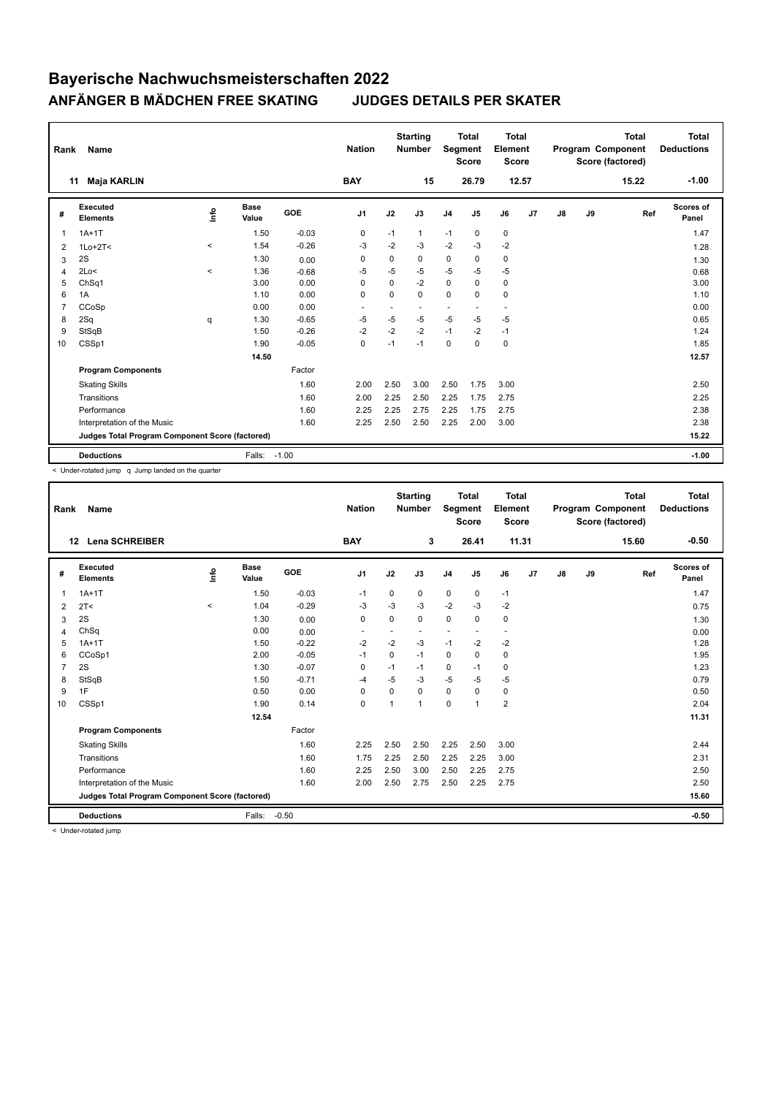| Rank           | Name                                            |          |                      |            | <b>Nation</b>  |             | <b>Starting</b><br><b>Number</b> | Segment        | <b>Total</b><br><b>Score</b> | <b>Total</b><br>Element<br><b>Score</b> |    |               |    | <b>Total</b><br>Program Component<br>Score (factored) | Total<br><b>Deductions</b> |
|----------------|-------------------------------------------------|----------|----------------------|------------|----------------|-------------|----------------------------------|----------------|------------------------------|-----------------------------------------|----|---------------|----|-------------------------------------------------------|----------------------------|
|                | Maja KARLIN<br>11                               |          |                      |            | <b>BAY</b>     |             | 15                               |                | 26.79                        | 12.57                                   |    |               |    | 15.22                                                 | $-1.00$                    |
| #              | Executed<br><b>Elements</b>                     | Info     | <b>Base</b><br>Value | <b>GOE</b> | J <sub>1</sub> | J2          | J3                               | J <sub>4</sub> | J5                           | J6                                      | J7 | $\mathsf{J}8$ | J9 | Ref                                                   | Scores of<br>Panel         |
| 1              | $1A+1T$                                         |          | 1.50                 | $-0.03$    | 0              | $-1$        | 1                                | $-1$           | 0                            | 0                                       |    |               |    |                                                       | 1.47                       |
| 2              | $1Lo+2T<$                                       | $\prec$  | 1.54                 | $-0.26$    | -3             | $-2$        | $-3$                             | $-2$           | $-3$                         | $-2$                                    |    |               |    |                                                       | 1.28                       |
| 3              | 2S                                              |          | 1.30                 | 0.00       | 0              | $\mathbf 0$ | 0                                | $\mathbf 0$    | 0                            | $\mathbf 0$                             |    |               |    |                                                       | 1.30                       |
| $\overline{4}$ | 2Lo<                                            | $\hat{}$ | 1.36                 | $-0.68$    | -5             | $-5$        | $-5$                             | $-5$           | -5                           | $-5$                                    |    |               |    |                                                       | 0.68                       |
| 5              | ChSq1                                           |          | 3.00                 | 0.00       | 0              | $\mathbf 0$ | $-2$                             | $\mathbf 0$    | 0                            | 0                                       |    |               |    |                                                       | 3.00                       |
| 6              | 1A                                              |          | 1.10                 | 0.00       | 0              | $\Omega$    | $\Omega$                         | $\mathbf 0$    | $\Omega$                     | $\mathbf 0$                             |    |               |    |                                                       | 1.10                       |
| 7              | CCoSp                                           |          | 0.00                 | 0.00       |                |             |                                  | ٠              |                              | $\overline{a}$                          |    |               |    |                                                       | 0.00                       |
| 8              | 2Sq                                             | q        | 1.30                 | $-0.65$    | -5             | $-5$        | $-5$                             | $-5$           | $-5$                         | $-5$                                    |    |               |    |                                                       | 0.65                       |
| 9              | StSqB                                           |          | 1.50                 | $-0.26$    | $-2$           | $-2$        | $-2$                             | $-1$           | $-2$                         | $-1$                                    |    |               |    |                                                       | 1.24                       |
| 10             | CSSp1                                           |          | 1.90                 | $-0.05$    | 0              | $-1$        | $-1$                             | 0              | 0                            | $\mathbf 0$                             |    |               |    |                                                       | 1.85                       |
|                |                                                 |          | 14.50                |            |                |             |                                  |                |                              |                                         |    |               |    |                                                       | 12.57                      |
|                | <b>Program Components</b>                       |          |                      | Factor     |                |             |                                  |                |                              |                                         |    |               |    |                                                       |                            |
|                | <b>Skating Skills</b>                           |          |                      | 1.60       | 2.00           | 2.50        | 3.00                             | 2.50           | 1.75                         | 3.00                                    |    |               |    |                                                       | 2.50                       |
|                | Transitions                                     |          |                      | 1.60       | 2.00           | 2.25        | 2.50                             | 2.25           | 1.75                         | 2.75                                    |    |               |    |                                                       | 2.25                       |
|                | Performance                                     |          |                      | 1.60       | 2.25           | 2.25        | 2.75                             | 2.25           | 1.75                         | 2.75                                    |    |               |    |                                                       | 2.38                       |
|                | Interpretation of the Music                     |          |                      | 1.60       | 2.25           | 2.50        | 2.50                             | 2.25           | 2.00                         | 3.00                                    |    |               |    |                                                       | 2.38                       |
|                | Judges Total Program Component Score (factored) |          |                      |            |                |             |                                  |                |                              |                                         |    |               |    |                                                       | 15.22                      |
|                | <b>Deductions</b>                               |          | Falls: -1.00         |            |                |             |                                  |                |                              |                                         |    |               |    |                                                       | $-1.00$                    |

< Under-rotated jump q Jump landed on the quarter

| Rank           | Name                                            |          |                      |         | <b>Nation</b>            |             | <b>Starting</b><br><b>Number</b> | Segment        | <b>Total</b><br><b>Score</b> | <b>Total</b><br>Element<br>Score |    |               |    | <b>Total</b><br>Program Component<br>Score (factored) | <b>Total</b><br><b>Deductions</b> |
|----------------|-------------------------------------------------|----------|----------------------|---------|--------------------------|-------------|----------------------------------|----------------|------------------------------|----------------------------------|----|---------------|----|-------------------------------------------------------|-----------------------------------|
|                | <b>Lena SCHREIBER</b><br>12                     |          |                      |         | <b>BAY</b>               |             | 3                                |                | 26.41                        | 11.31                            |    |               |    | 15.60                                                 | $-0.50$                           |
| #              | Executed<br><b>Elements</b>                     | ١nfo     | <b>Base</b><br>Value | GOE     | J <sub>1</sub>           | J2          | J3                               | J <sub>4</sub> | $\mathsf{J}5$                | J6                               | J7 | $\mathsf{J}8$ | J9 | Ref                                                   | <b>Scores of</b><br>Panel         |
| 1              | $1A+1T$                                         |          | 1.50                 | $-0.03$ | $-1$                     | $\mathbf 0$ | 0                                | $\mathbf 0$    | $\mathbf 0$                  | $-1$                             |    |               |    |                                                       | 1.47                              |
| 2              | 2T <                                            | $\hat{}$ | 1.04                 | $-0.29$ | $-3$                     | $-3$        | $-3$                             | $-2$           | $-3$                         | $-2$                             |    |               |    |                                                       | 0.75                              |
| 3              | 2S                                              |          | 1.30                 | 0.00    | 0                        | 0           | 0                                | $\mathbf 0$    | $\Omega$                     | 0                                |    |               |    |                                                       | 1.30                              |
| 4              | ChSq                                            |          | 0.00                 | 0.00    | $\overline{\phantom{a}}$ | ٠           | $\overline{\phantom{a}}$         | ÷              | ٠                            | $\blacksquare$                   |    |               |    |                                                       | 0.00                              |
| 5              | $1A+1T$                                         |          | 1.50                 | $-0.22$ | $-2$                     | $-2$        | $-3$                             | $-1$           | $-2$                         | $-2$                             |    |               |    |                                                       | 1.28                              |
| 6              | CCoSp1                                          |          | 2.00                 | $-0.05$ | $-1$                     | $\mathbf 0$ | $-1$                             | $\mathbf 0$    | $\Omega$                     | $\mathbf 0$                      |    |               |    |                                                       | 1.95                              |
| $\overline{7}$ | 2S                                              |          | 1.30                 | $-0.07$ | 0                        | $-1$        | $-1$                             | $\mathbf 0$    | $-1$                         | 0                                |    |               |    |                                                       | 1.23                              |
| 8              | StSqB                                           |          | 1.50                 | $-0.71$ | $-4$                     | $-5$        | $-3$                             | $-5$           | $-5$                         | $-5$                             |    |               |    |                                                       | 0.79                              |
| 9              | 1F                                              |          | 0.50                 | 0.00    | $\Omega$                 | $\Omega$    | $\Omega$                         | $\Omega$       | $\Omega$                     | 0                                |    |               |    |                                                       | 0.50                              |
| 10             | CSSp1                                           |          | 1.90                 | 0.14    | $\mathbf 0$              | 1           | 1                                | $\mathbf 0$    | $\overline{1}$               | $\overline{2}$                   |    |               |    |                                                       | 2.04                              |
|                |                                                 |          | 12.54                |         |                          |             |                                  |                |                              |                                  |    |               |    |                                                       | 11.31                             |
|                | <b>Program Components</b>                       |          |                      | Factor  |                          |             |                                  |                |                              |                                  |    |               |    |                                                       |                                   |
|                | <b>Skating Skills</b>                           |          |                      | 1.60    | 2.25                     | 2.50        | 2.50                             | 2.25           | 2.50                         | 3.00                             |    |               |    |                                                       | 2.44                              |
|                | Transitions                                     |          |                      | 1.60    | 1.75                     | 2.25        | 2.50                             | 2.25           | 2.25                         | 3.00                             |    |               |    |                                                       | 2.31                              |
|                | Performance                                     |          |                      | 1.60    | 2.25                     | 2.50        | 3.00                             | 2.50           | 2.25                         | 2.75                             |    |               |    |                                                       | 2.50                              |
|                | Interpretation of the Music                     |          |                      | 1.60    | 2.00                     | 2.50        | 2.75                             | 2.50           | 2.25                         | 2.75                             |    |               |    |                                                       | 2.50                              |
|                | Judges Total Program Component Score (factored) |          |                      |         |                          |             |                                  |                |                              |                                  |    |               |    |                                                       | 15.60                             |
|                | <b>Deductions</b>                               |          | Falls:               | $-0.50$ |                          |             |                                  |                |                              |                                  |    |               |    |                                                       | $-0.50$                           |

< Under-rotated jump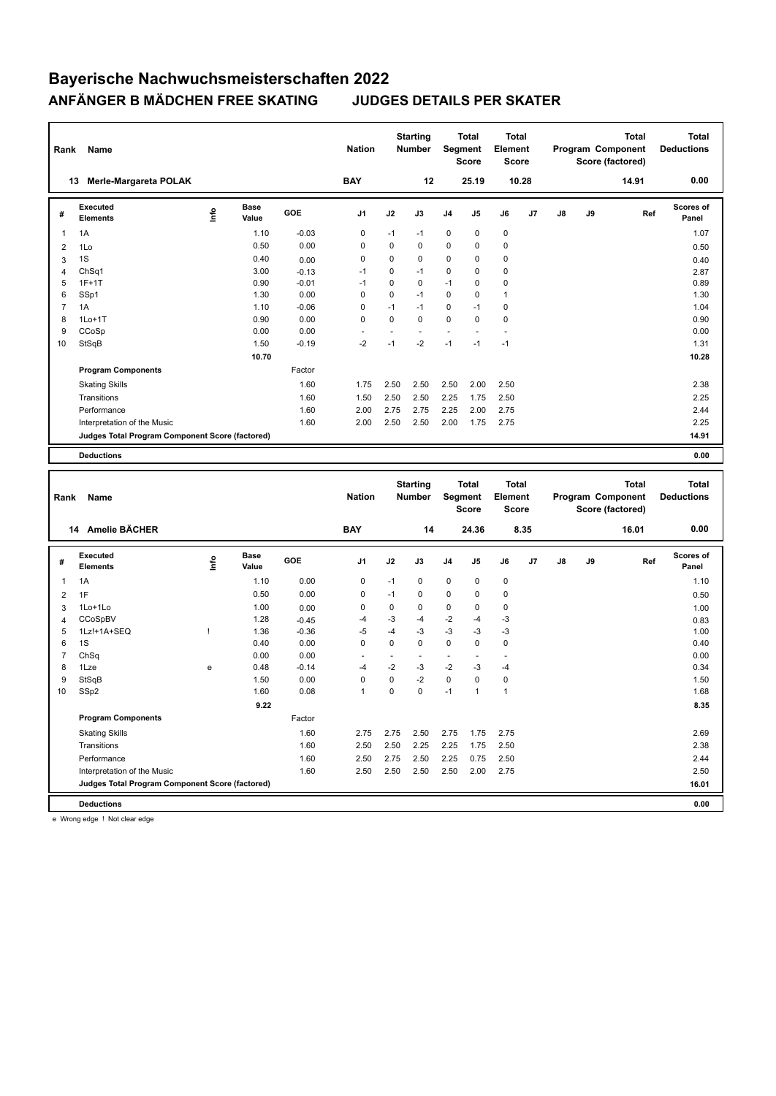| Name<br>Rank   |                                                 |                                  | <b>Nation</b>        | <b>Starting</b><br><b>Number</b> |                | Total<br>Segment<br><b>Score</b> |                           | <b>Total</b><br>Element<br><b>Score</b> |                                                                                    | Program Component        |                                                       | <b>Total</b><br>Score (factored) | <b>Total</b><br><b>Deductions</b> |                                   |                    |
|----------------|-------------------------------------------------|----------------------------------|----------------------|----------------------------------|----------------|----------------------------------|---------------------------|-----------------------------------------|------------------------------------------------------------------------------------|--------------------------|-------------------------------------------------------|----------------------------------|-----------------------------------|-----------------------------------|--------------------|
|                | 13 Merle-Margareta POLAK                        |                                  |                      |                                  | <b>BAY</b>     |                                  | 12                        |                                         | 25.19                                                                              |                          | 10.28                                                 |                                  |                                   | 14.91                             | 0.00               |
| #              | <b>Executed</b><br><b>Elements</b>              | ١nfo                             | <b>Base</b><br>Value | <b>GOE</b>                       | J <sub>1</sub> | J2                               | J3                        | J4                                      | J5                                                                                 | J6                       | J7                                                    | J8                               | J9                                | Ref                               | Scores of<br>Panel |
| 1              | 1A                                              |                                  | 1.10                 | $-0.03$                          | $\mathbf 0$    | $-1$                             | $-1$                      | 0                                       | $\mathbf 0$                                                                        | 0                        |                                                       |                                  |                                   |                                   | 1.07               |
| $\overline{2}$ | 1Lo                                             |                                  | 0.50                 | 0.00                             | $\mathbf 0$    | $\Omega$                         | $\Omega$                  | 0                                       | $\mathbf 0$                                                                        | $\mathbf 0$              |                                                       |                                  |                                   |                                   | 0.50               |
| 3              | 1S                                              |                                  | 0.40                 | 0.00                             | $\mathbf 0$    | $\mathbf 0$                      | 0                         | 0                                       | 0                                                                                  | 0                        |                                                       |                                  |                                   |                                   | 0.40               |
| 4              | ChSq1                                           |                                  | 3.00                 | $-0.13$                          | $-1$           | $\overline{0}$                   | $-1$                      | 0                                       | $\Omega$                                                                           | $\mathbf 0$              |                                                       |                                  |                                   |                                   | 2.87               |
| 5              | $1F+1T$                                         |                                  | 0.90                 | $-0.01$                          | $-1$           | $\mathbf 0$                      | 0                         | $-1$                                    | $\mathbf 0$                                                                        | 0                        |                                                       |                                  |                                   |                                   | 0.89               |
| 6              | SSp1                                            |                                  | 1.30                 | 0.00                             | $\mathbf 0$    | $\mathbf 0$                      | $-1$                      | 0                                       | $\Omega$                                                                           | $\mathbf{1}$             |                                                       |                                  |                                   |                                   | 1.30               |
| $\overline{7}$ | 1A                                              |                                  | 1.10                 | $-0.06$                          | $\mathbf 0$    | $-1$                             | $-1$                      | 0                                       | $-1$                                                                               | $\mathbf 0$              |                                                       |                                  |                                   |                                   | 1.04               |
| 8              | $1Lo+1T$                                        |                                  | 0.90                 | 0.00                             | $\Omega$       | $\Omega$                         | $\Omega$                  | 0                                       | $\mathbf 0$                                                                        | $\mathbf 0$              |                                                       |                                  |                                   |                                   | 0.90               |
| 9              | CCoSp                                           |                                  | 0.00                 | 0.00                             | ä,             | ÷,                               | $\overline{a}$            | ä,                                      | L.                                                                                 | $\overline{\phantom{a}}$ |                                                       |                                  |                                   |                                   | 0.00               |
| 10             | StSqB                                           |                                  | 1.50                 | $-0.19$                          | $-2$           | $-1$                             | $-2$                      | $-1$                                    | $-1$                                                                               | $-1$                     |                                                       |                                  |                                   |                                   | 1.31               |
|                |                                                 |                                  | 10.70                |                                  |                |                                  |                           |                                         |                                                                                    |                          |                                                       |                                  |                                   |                                   | 10.28              |
|                | <b>Program Components</b>                       |                                  |                      | Factor                           |                |                                  |                           |                                         |                                                                                    |                          |                                                       |                                  |                                   |                                   |                    |
|                | <b>Skating Skills</b>                           |                                  |                      | 1.60                             | 1.75           | 2.50                             | 2.50                      | 2.50                                    | 2.00                                                                               | 2.50                     |                                                       |                                  |                                   |                                   | 2.38               |
|                | Transitions                                     |                                  |                      | 1.60                             | 1.50           | 2.50                             | 2.50                      | 2.25                                    | 1.75                                                                               | 2.50                     |                                                       |                                  |                                   |                                   | 2.25               |
|                | Performance                                     |                                  |                      | 1.60                             | 2.00           | 2.75                             | 2.75                      | 2.25                                    | 2.00                                                                               | 2.75                     |                                                       |                                  |                                   |                                   | 2.44               |
|                | Interpretation of the Music                     |                                  |                      | 1.60                             | 2.00           | 2.50                             | 2.50                      | 2.00                                    | 1.75                                                                               | 2.75                     |                                                       |                                  |                                   |                                   | 2.25               |
|                | Judges Total Program Component Score (factored) |                                  |                      |                                  |                |                                  |                           |                                         |                                                                                    |                          |                                                       |                                  |                                   |                                   | 14.91              |
|                |                                                 |                                  |                      |                                  |                |                                  |                           |                                         |                                                                                    |                          |                                                       |                                  |                                   |                                   |                    |
|                | <b>Deductions</b>                               |                                  |                      |                                  |                |                                  |                           |                                         |                                                                                    |                          |                                                       |                                  |                                   |                                   | 0.00               |
| Rank<br>Name   |                                                 |                                  |                      |                                  | <b>Nation</b>  |                                  | <b>Starting</b><br>Number |                                         | <b>Total</b><br><b>Total</b><br>Segment<br>Element<br><b>Score</b><br><b>Score</b> |                          | <b>Total</b><br>Program Component<br>Score (factored) |                                  |                                   | <b>Total</b><br><b>Deductions</b> |                    |
|                | 14 Amelie BÄCHER                                |                                  |                      |                                  | <b>BAY</b>     |                                  | 14                        | 24.36                                   |                                                                                    | 8.35                     |                                                       |                                  |                                   | 16.01                             | 0.00               |
| #              | <b>Executed</b><br><b>Elements</b>              | $\mathop{\mathsf{Irr}}\nolimits$ | <b>Base</b><br>Value | GOE                              | J <sub>1</sub> | J2                               | J3                        | J4                                      | J5                                                                                 | J6                       | J7                                                    | J8                               | J9                                | Ref                               | Scores of<br>Panel |
| 1              | 1A                                              |                                  | 1.10                 | 0.00                             | $\mathbf 0$    | $-1$                             | $\mathbf 0$               | 0                                       | $\mathbf 0$                                                                        | $\mathbf 0$              |                                                       |                                  |                                   |                                   | 1.10               |
| 2              | 1F                                              |                                  | 0.50                 | 0.00                             | $\mathbf 0$    | $-1$                             | 0                         | 0                                       | $\mathbf 0$                                                                        | 0                        |                                                       |                                  |                                   |                                   | 0.50               |
| 3              | 1Lo+1Lo                                         |                                  | 1.00                 | 0.00                             | $\mathbf 0$    | $\mathbf 0$                      | $\mathbf 0$               | 0                                       | $\mathbf 0$                                                                        | $\mathbf 0$              |                                                       |                                  |                                   |                                   | 1.00               |
| $\overline{4}$ | CCoSpBV                                         |                                  | 1.28                 | $-0.45$                          | $-4$           | $-3$                             | -4                        | $-2$                                    | $-4$                                                                               | $-3$                     |                                                       |                                  |                                   |                                   | 0.83               |
| 5              | 1Lz!+1A+SEQ                                     | Ţ                                | 1.36                 | $-0.36$                          | $-5$           | $-4$                             | -3                        | $-3$                                    | $-3$                                                                               | $-3$                     |                                                       |                                  |                                   |                                   | 1.00               |
| 6              | 1S                                              |                                  | 0.40                 | 0.00                             | 0              | $\mathbf 0$                      | $\mathbf 0$               | 0                                       | $\mathbf 0$                                                                        | 0                        |                                                       |                                  |                                   |                                   | 0.40               |
| $\overline{7}$ | ChSq                                            |                                  | 0.00                 | 0.00                             | ä,             | $\overline{\phantom{a}}$         | ÷.                        | ÷.                                      | ä,                                                                                 | ÷.                       |                                                       |                                  |                                   |                                   | 0.00               |
| 8              | 1Lze                                            | e                                | 0.48                 | $-0.14$                          | $-4$           | $-2$                             | -3                        | $-2$                                    | $-3$                                                                               | $-4$                     |                                                       |                                  |                                   |                                   | 0.34               |

9 StSqB 1.50 0.00 0 0 -2 0 0 0 1.50 10 SSp2 1.60 0.08 1 0 0 -1 1 1 1.68

Factor

Skating Skills 2.75 2.75 2.50 2.75 1.75 2.75 1.60 2.69

Transitions 1.60 2.50 2.50 2.25 2.25 1.75 2.50 2.38 Performance 2.50 2.60 2.75 2.50 2.25 0.75 2.50 2.25 2.44 Interpretation of the Music 1.60 2.50 2.50 2.50 2.50 2.00 2.75 2.50

**Deductions 0.00 Judges Total Program Component Score (factored) 16.01**

 **9.22 8.35**

e Wrong edge ! Not clear edge

**Program Components**